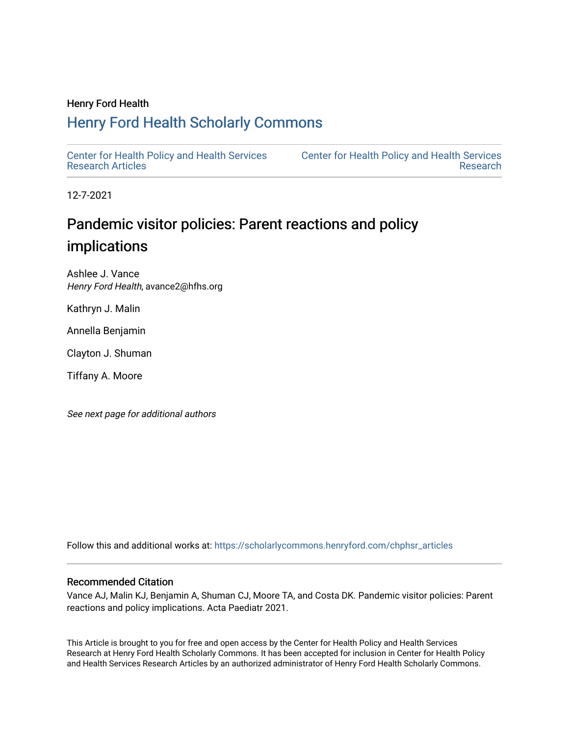### Henry Ford Health

### [Henry Ford Health Scholarly Commons](https://scholarlycommons.henryford.com/)

[Center for Health Policy and Health Services](https://scholarlycommons.henryford.com/chphsr_articles) [Research Articles](https://scholarlycommons.henryford.com/chphsr_articles) 

[Center for Health Policy and Health Services](https://scholarlycommons.henryford.com/chphsr)  [Research](https://scholarlycommons.henryford.com/chphsr) 

12-7-2021

### Pandemic visitor policies: Parent reactions and policy implications

Ashlee J. Vance Henry Ford Health, avance2@hfhs.org

Kathryn J. Malin

Annella Benjamin

Clayton J. Shuman

Tiffany A. Moore

See next page for additional authors

Follow this and additional works at: [https://scholarlycommons.henryford.com/chphsr\\_articles](https://scholarlycommons.henryford.com/chphsr_articles?utm_source=scholarlycommons.henryford.com%2Fchphsr_articles%2F246&utm_medium=PDF&utm_campaign=PDFCoverPages) 

### Recommended Citation

Vance AJ, Malin KJ, Benjamin A, Shuman CJ, Moore TA, and Costa DK. Pandemic visitor policies: Parent reactions and policy implications. Acta Paediatr 2021.

This Article is brought to you for free and open access by the Center for Health Policy and Health Services Research at Henry Ford Health Scholarly Commons. It has been accepted for inclusion in Center for Health Policy and Health Services Research Articles by an authorized administrator of Henry Ford Health Scholarly Commons.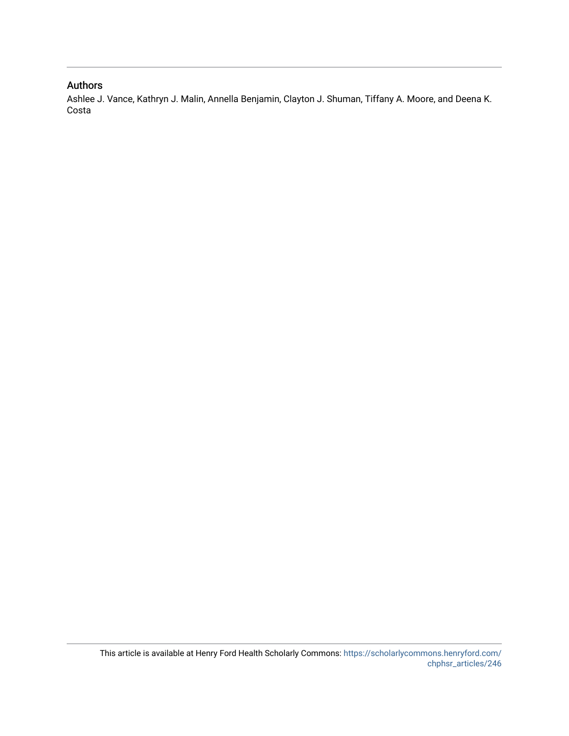### Authors

Ashlee J. Vance, Kathryn J. Malin, Annella Benjamin, Clayton J. Shuman, Tiffany A. Moore, and Deena K. Costa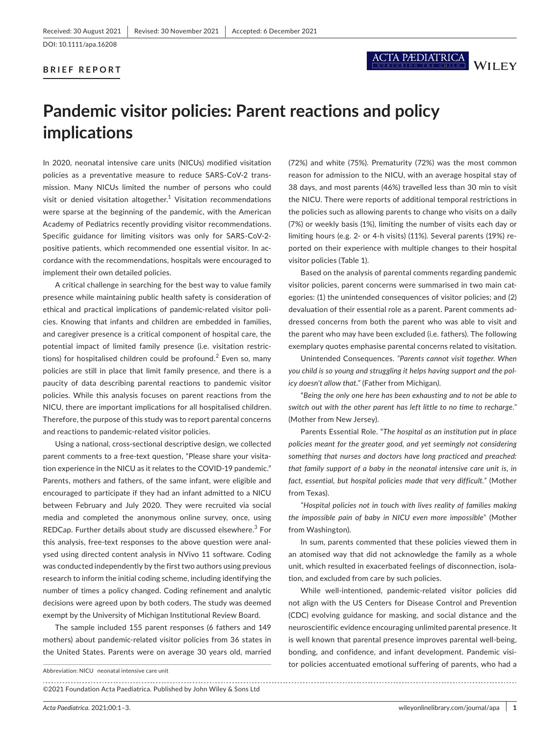### **BRIEF REPORT**

# ACTA PÆDIATRICA WILEY

## **Pandemic visitor policies: Parent reactions and policy implications**

In 2020, neonatal intensive care units (NICUs) modified visitation policies as a preventative measure to reduce SARS-CoV-2 transmission. Many NICUs limited the number of persons who could visit or denied visitation altogether. $1$  Visitation recommendations were sparse at the beginning of the pandemic, with the American Academy of Pediatrics recently providing visitor recommendations. Specific guidance for limiting visitors was only for SARS-CoV-2 positive patients, which recommended one essential visitor. In accordance with the recommendations, hospitals were encouraged to implement their own detailed policies.

A critical challenge in searching for the best way to value family presence while maintaining public health safety is consideration of ethical and practical implications of pandemic-related visitor policies. Knowing that infants and children are embedded in families, and caregiver presence is a critical component of hospital care, the potential impact of limited family presence (i.e. visitation restrictions) for hospitalised children could be profound. $2$  Even so, many policies are still in place that limit family presence, and there is a paucity of data describing parental reactions to pandemic visitor policies. While this analysis focuses on parent reactions from the NICU, there are important implications for all hospitalised children. Therefore, the purpose of this study was to report parental concerns and reactions to pandemic-related visitor policies.

Using a national, cross-sectional descriptive design, we collected parent comments to a free-text question, "Please share your visitation experience in the NICU as it relates to the COVID-19 pandemic." Parents, mothers and fathers, of the same infant, were eligible and encouraged to participate if they had an infant admitted to a NICU between February and July 2020. They were recruited via social media and completed the anonymous online survey, once, using REDCap. Further details about study are discussed elsewhere.<sup>3</sup> For this analysis, free-text responses to the above question were analysed using directed content analysis in NVivo 11 software. Coding was conducted independently by the first two authors using previous research to inform the initial coding scheme, including identifying the number of times a policy changed. Coding refinement and analytic decisions were agreed upon by both coders. The study was deemed exempt by the University of Michigan Institutional Review Board.

The sample included 155 parent responses (6 fathers and 149 mothers) about pandemic-related visitor policies from 36 states in the United States. Parents were on average 30 years old, married

Abbreviation: NICU neonatal intensive care unit

©2021 Foundation Acta Paediatrica. Published by John Wiley & Sons Ltd (72%) and white (75%). Prematurity (72%) was the most common reason for admission to the NICU, with an average hospital stay of 38 days, and most parents (46%) travelled less than 30 min to visit the NICU. There were reports of additional temporal restrictions in the policies such as allowing parents to change who visits on a daily (7%) or weekly basis (1%), limiting the number of visits each day or limiting hours (e.g. 2- or 4-h visits) (11%). Several parents (19%) reported on their experience with multiple changes to their hospital visitor policies (Table 1).

Based on the analysis of parental comments regarding pandemic visitor policies, parent concerns were summarised in two main categories: (1) the unintended consequences of visitor policies; and (2) devaluation of their essential role as a parent. Parent comments addressed concerns from both the parent who was able to visit and the parent who may have been excluded (i.e. fathers). The following exemplary quotes emphasise parental concerns related to visitation.

Unintended Consequences. *"Parents cannot visit together. When you child is so young and struggling it helps having support and the policy doesn't allow that."* (Father from Michigan*)*.

"*Being the only one here has been exhausting and to not be able to switch out with the other parent has left little to no time to recharge."* (Mother from New Jersey).

Parents Essential Role. "*The hospital as an institution put in place policies meant for the greater good, and yet seemingly not considering something that nurses and doctors have long practiced and preached: that family support of a baby in the neonatal intensive care unit is, in fact, essential, but hospital policies made that very difficult."* (Mother from Texas).

*"Hospital policies not in touch with lives reality of families making the impossible pain of baby in NICU even more impossible"* (Mother from Washington).

In sum, parents commented that these policies viewed them in an atomised way that did not acknowledge the family as a whole unit, which resulted in exacerbated feelings of disconnection, isolation, and excluded from care by such policies.

While well-intentioned, pandemic-related visitor policies did not align with the US Centers for Disease Control and Prevention (CDC) evolving guidance for masking, and social distance and the neuroscientific evidence encouraging unlimited parental presence. It is well known that parental presence improves parental well-being, bonding, and confidence, and infant development. Pandemic visitor policies accentuated emotional suffering of parents, who had a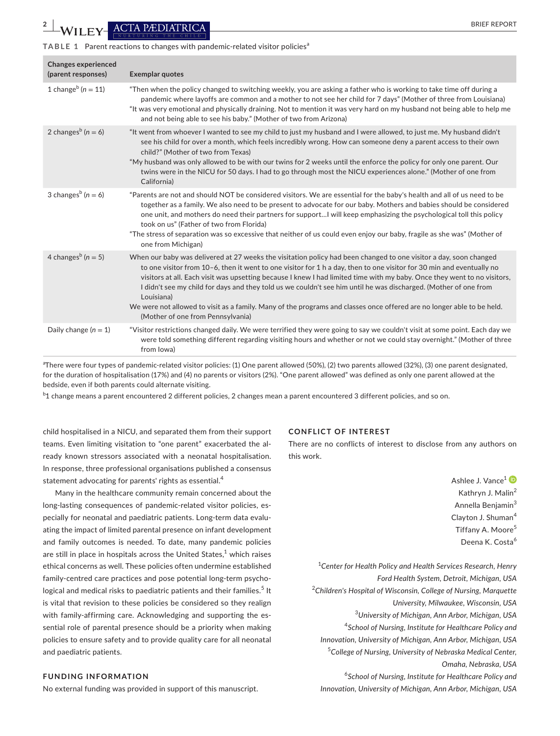### **TABLE 1** Parent reactions to changes with pandemic-related visitor policies<sup>a</sup>

| <b>Changes experienced</b><br>(parent responses) | <b>Exemplar quotes</b>                                                                                                                                                                                                                                                                                                                                                                                                                                                                                                                                                                                                                                                  |
|--------------------------------------------------|-------------------------------------------------------------------------------------------------------------------------------------------------------------------------------------------------------------------------------------------------------------------------------------------------------------------------------------------------------------------------------------------------------------------------------------------------------------------------------------------------------------------------------------------------------------------------------------------------------------------------------------------------------------------------|
| 1 change <sup>b</sup> ( $n = 11$ )               | "Then when the policy changed to switching weekly, you are asking a father who is working to take time off during a<br>pandemic where layoffs are common and a mother to not see her child for 7 days" (Mother of three from Louisiana)<br>"It was very emotional and physically draining. Not to mention it was very hard on my husband not being able to help me<br>and not being able to see his baby." (Mother of two from Arizona)                                                                                                                                                                                                                                 |
| 2 changes <sup>b</sup> ( $n = 6$ )               | "It went from whoever I wanted to see my child to just my husband and I were allowed, to just me. My husband didn't<br>see his child for over a month, which feels incredibly wrong. How can someone deny a parent access to their own<br>child?" (Mother of two from Texas)<br>"My husband was only allowed to be with our twins for 2 weeks until the enforce the policy for only one parent. Our<br>twins were in the NICU for 50 days. I had to go through most the NICU experiences alone." (Mother of one from<br>California)                                                                                                                                     |
| 3 changes <sup>b</sup> ( $n = 6$ )               | "Parents are not and should NOT be considered visitors. We are essential for the baby's health and all of us need to be<br>together as a family. We also need to be present to advocate for our baby. Mothers and babies should be considered<br>one unit, and mothers do need their partners for supportI will keep emphasizing the psychological toll this policy<br>took on us" (Father of two from Florida)<br>"The stress of separation was so excessive that neither of us could even enjoy our baby, fragile as she was" (Mother of<br>one from Michigan)                                                                                                        |
| 4 changes <sup>b</sup> ( $n = 5$ )               | When our baby was delivered at 27 weeks the visitation policy had been changed to one visitor a day, soon changed<br>to one visitor from 10-6, then it went to one visitor for 1 h a day, then to one visitor for 30 min and eventually no<br>visitors at all. Each visit was upsetting because I knew I had limited time with my baby. Once they went to no visitors,<br>I didn't see my child for days and they told us we couldn't see him until he was discharged. (Mother of one from<br>Louisiana)<br>We were not allowed to visit as a family. Many of the programs and classes once offered are no longer able to be held.<br>(Mother of one from Pennsylvania) |
| Daily change $(n = 1)$                           | "Visitor restrictions changed daily. We were terrified they were going to say we couldn't visit at some point. Each day we<br>were told something different regarding visiting hours and whether or not we could stay overnight." (Mother of three<br>from lowa)                                                                                                                                                                                                                                                                                                                                                                                                        |

a There were four types of pandemic-related visitor policies: (1) One parent allowed (50%), (2) two parents allowed (32%), (3) one parent designated, for the duration of hospitalisation (17%) and (4) no parents or visitors (2%). "One parent allowed" was defined as only one parent allowed at the bedside, even if both parents could alternate visiting.

 $^{\rm b}$ 1 change means a parent encountered 2 different policies, 2 changes mean a parent encountered 3 different policies, and so on.

child hospitalised in a NICU, and separated them from their support teams. Even limiting visitation to "one parent" exacerbated the already known stressors associated with a neonatal hospitalisation. In response, three professional organisations published a consensus statement advocating for parents' rights as essential.<sup>4</sup>

Many in the healthcare community remain concerned about the long-lasting consequences of pandemic-related visitor policies, especially for neonatal and paediatric patients. Long-term data evaluating the impact of limited parental presence on infant development and family outcomes is needed. To date, many pandemic policies are still in place in hospitals across the United States, $^1$  which raises ethical concerns as well. These policies often undermine established family-centred care practices and pose potential long-term psychological and medical risks to paediatric patients and their families.<sup>5</sup> It is vital that revision to these policies be considered so they realign with family-affirming care. Acknowledging and supporting the essential role of parental presence should be a priority when making policies to ensure safety and to provide quality care for all neonatal and paediatric patients.

### **FUNDING INFORMATION**

No external funding was provided in support of this manuscript.

### **CONFLICT OF INTEREST**

There are no conflicts of interest to disclose from any authors on this work.

> Ashlee J. Vance<sup>[1](https://orcid.org/0000-0003-0284-3995)</sup> Kathryn J. Malin<sup>2</sup> Annella Benjamin<sup>3</sup> Clayton J. Shuman<sup>4</sup> Tiffany A. Moore<sup>5</sup> Deena K. Costa<sup>6</sup>

1 *Center for Health Policy and Health Services Research, Henry Ford Health System, Detroit, Michigan, USA* 2 *Children's Hospital of Wisconsin, College of Nursing, Marquette University, Milwaukee, Wisconsin, USA* 3 *University of Michigan, Ann Arbor, Michigan, USA* 4 *School of Nursing, Institute for Healthcare Policy and Innovation, University of Michigan, Ann Arbor, Michigan, USA* 5 *College of Nursing, University of Nebraska Medical Center, Omaha, Nebraska, USA* 6 *School of Nursing, Institute for Healthcare Policy and Innovation, University of Michigan, Ann Arbor, Michigan, USA*